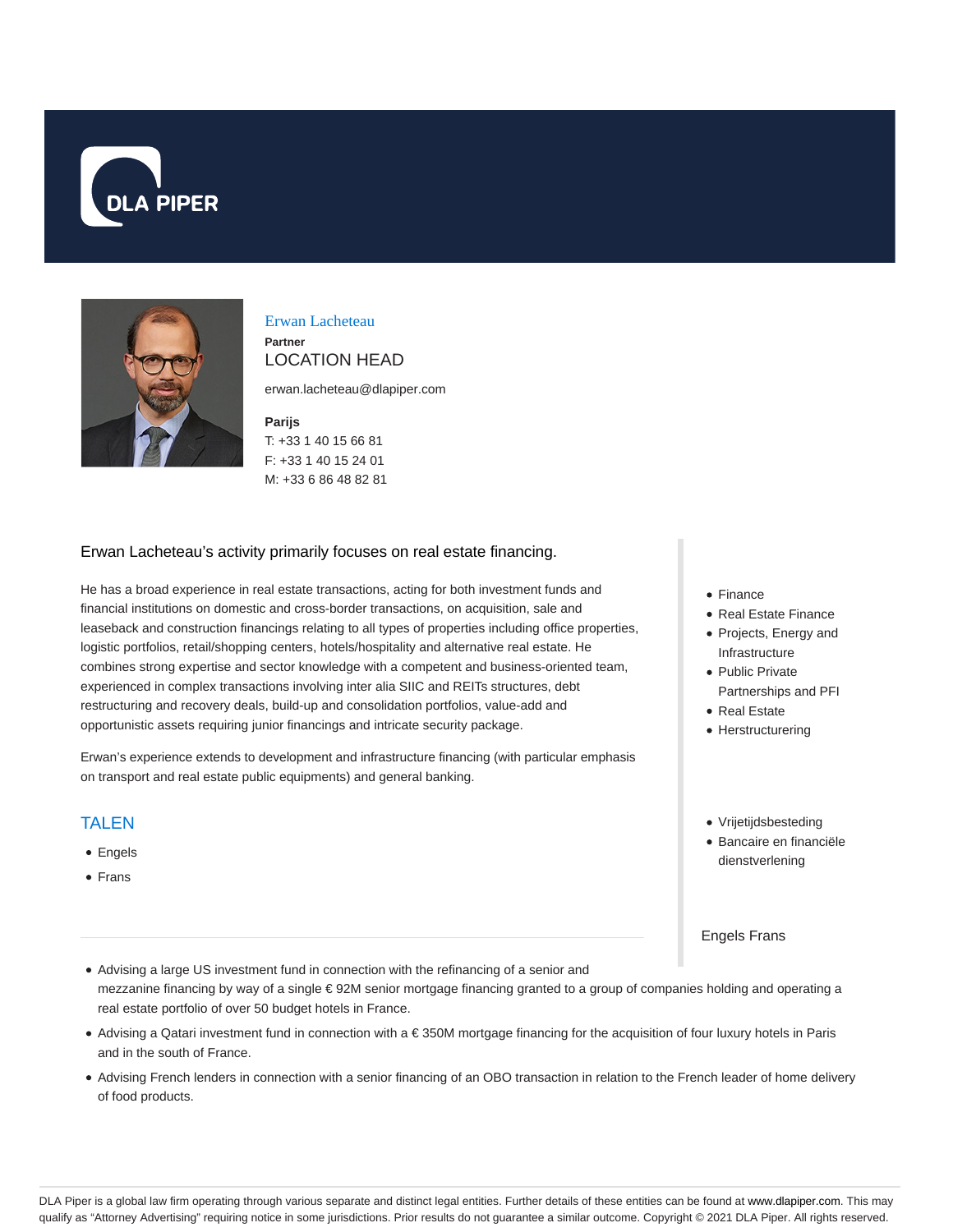



#### Erwan Lacheteau **Partner**

# LOCATION HEAD

erwan.lacheteau@dlapiper.com

#### **Parijs**

T: +33 1 40 15 66 81 F: +33 1 40 15 24 01 M: +33 6 86 48 82 81

#### Erwan Lacheteau's activity primarily focuses on real estate financing.

He has a broad experience in real estate transactions, acting for both investment funds and financial institutions on domestic and cross-border transactions, on acquisition, sale and leaseback and construction financings relating to all types of properties including office properties, logistic portfolios, retail/shopping centers, hotels/hospitality and alternative real estate. He combines strong expertise and sector knowledge with a competent and business-oriented team, experienced in complex transactions involving inter alia SIIC and REITs structures, debt restructuring and recovery deals, build-up and consolidation portfolios, value-add and opportunistic assets requiring junior financings and intricate security package.

Erwan's experience extends to development and infrastructure financing (with particular emphasis on transport and real estate public equipments) and general banking.

#### **TAI FN**

- Engels
- Frans
- Finance
- Real Estate Finance
- Projects, Energy and Infrastructure
- Public Private Partnerships and PFI
- Real Estate
- Herstructurering
- Vrijetijdsbesteding
- Bancaire en financiële dienstverlening

Engels Frans

- Advising a large US investment fund in connection with the refinancing of a senior and mezzanine financing by way of a single € 92M senior mortgage financing granted to a group of companies holding and operating a real estate portfolio of over 50 budget hotels in France.
- Advising a Qatari investment fund in connection with a € 350M mortgage financing for the acquisition of four luxury hotels in Paris and in the south of France.
- Advising French lenders in connection with a senior financing of an OBO transaction in relation to the French leader of home delivery of food products.

DLA Piper is a global law firm operating through various separate and distinct legal entities. Further details of these entities can be found at www.dlapiper.com. This may qualify as "Attorney Advertising" requiring notice in some jurisdictions. Prior results do not guarantee a similar outcome. Copyright © 2021 DLA Piper. All rights reserved.